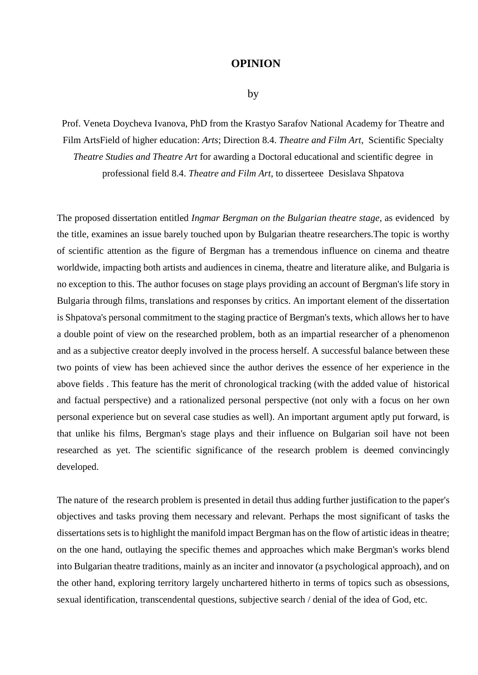## **OPINION**

## by

Prof. Veneta Doycheva Ivanova, PhD from the Krastyo Sarafov National Academy for Theatre and Film ArtsField of higher education: *Arts*; Direction 8.4. *Theatre and Film Art*, Scientific Specialty *Theatre Studies and Theatre Art* for awarding a Doctoral educational and scientific degree in professional field 8.4. *Theatre and Film Art*, to disserteee Desislava Shpatova

The proposed dissertation entitled *Ingmar Bergman on the Bulgarian theatre stage,* as evidenced by the title, examines an issue barely touched upon by Bulgarian theatre researchers.The topic is worthy of scientific attention as the figure of Bergman has a tremendous influence on cinema and theatre worldwide, impacting both artists and audiences in cinema, theatre and literature alike, and Bulgaria is no exception to this. The author focuses on stage plays providing an account of Bergman's life story in Bulgaria through films, translations and responses by critics. An important element of the dissertation is Shpatova's personal commitment to the staging practice of Bergman's texts, which allows her to have a double point of view on the researched problem, both as an impartial researcher of a phenomenon and as a subjective creator deeply involved in the process herself. A successful balance between these two points of view has been achieved since the author derives the essence of her experience in the above fields . This feature has the merit of chronological tracking (with the added value of historical and factual perspective) and a rationalized personal perspective (not only with a focus on her own personal experience but on several case studies as well). An important argument aptly put forward, is that unlike his films, Bergman's stage plays and their influence on Bulgarian soil have not been researched as yet. The scientific significance of the research problem is deemed convincingly developed.

The nature of the research problem is presented in detail thus adding further justification to the paper's objectives and tasks proving them necessary and relevant. Perhaps the most significant of tasks the dissertations sets is to highlight the manifold impact Bergman has on the flow of artistic ideas in theatre; on the one hand, outlaying the specific themes and approaches which make Bergman's works blend into Bulgarian theatre traditions, mainly as an inciter and innovator (a psychological approach), and on the other hand, exploring territory largely unchartered hitherto in terms of topics such as obsessions, sexual identification, transcendental questions, subjective search / denial of the idea of God, etc.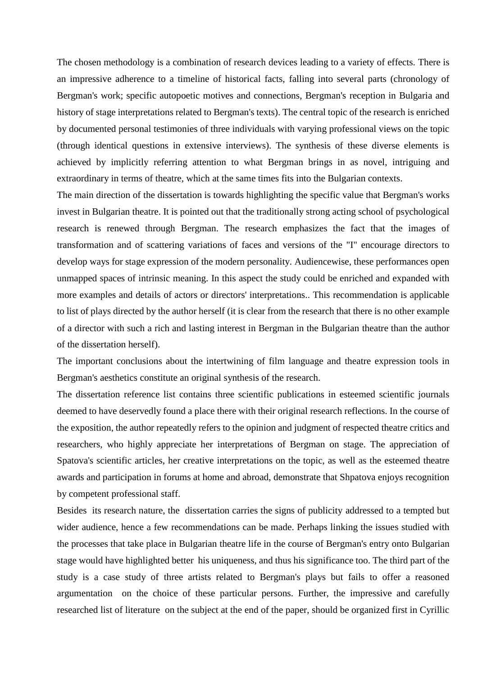The chosen methodology is a combination of research devices leading to a variety of effects. There is an impressive adherence to a timeline of historical facts, falling into several parts (chronology of Bergman's work; specific autopoetic motives and connections, Bergman's reception in Bulgaria and history of stage interpretations related to Bergman's texts). The central topic of the research is enriched by documented personal testimonies of three individuals with varying professional views on the topic (through identical questions in extensive interviews). The synthesis of these diverse elements is achieved by implicitly referring attention to what Bergman brings in as novel, intriguing and extraordinary in terms of theatre, which at the same times fits into the Bulgarian contexts.

The main direction of the dissertation is towards highlighting the specific value that Bergman's works invest in Bulgarian theatre. It is pointed out that the traditionally strong acting school of psychological research is renewed through Bergman. The research emphasizes the fact that the images of transformation and of scattering variations of faces and versions of the "I" encourage directors to develop ways for stage expression of the modern personality. Audiencewise, these performances open unmapped spaces of intrinsic meaning. In this aspect the study could be enriched and expanded with more examples and details of actors or directors' interpretations.. This recommendation is applicable to list of plays directed by the author herself (it is clear from the research that there is no other example of a director with such a rich and lasting interest in Bergman in the Bulgarian theatre than the author of the dissertation herself).

The important conclusions about the intertwining of film language and theatre expression tools in Bergman's aesthetics constitute an original synthesis of the research.

The dissertation reference list contains three scientific publications in esteemed scientific journals deemed to have deservedly found a place there with their original research reflections. In the course of the exposition, the author repeatedly refers to the opinion and judgment of respected theatre critics and researchers, who highly appreciate her interpretations of Bergman on stage. The appreciation of Spatova's scientific articles, her creative interpretations on the topic, as well as the esteemed theatre awards and participation in forums at home and abroad, demonstrate that Shpatova enjoys recognition by competent professional staff.

Besides its research nature, the dissertation carries the signs of publicity addressed to a tempted but wider audience, hence a few recommendations can be made. Perhaps linking the issues studied with the processes that take place in Bulgarian theatre life in the course of Bergman's entry onto Bulgarian stage would have highlighted better his uniqueness, and thus his significance too. The third part of the study is a case study of three artists related to Bergman's plays but fails to offer a reasoned argumentation on the choice of these particular persons. Further, the impressive and carefully researched list of literature on the subject at the end of the paper, should be organized first in Cyrillic